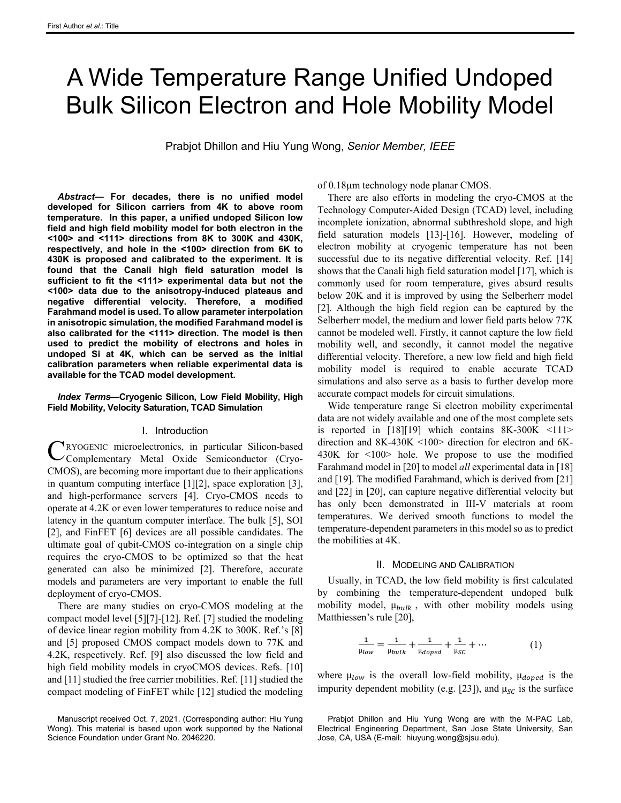# A Wide Temperature Range Unified Undoped Bulk Silicon Electron and Hole Mobility Model

Prabjot Dhillon and Hiu Yung Wong, *Senior Member, IEEE*

*Abstract***— For decades, there is no unified model developed for Silicon carriers from 4K to above room temperature. In this paper, a unified undoped Silicon low field and high field mobility model for both electron in the <100> and <111> directions from 8K to 300K and 430K, respectively, and hole in the <100> direction from 6K to 430K is proposed and calibrated to the experiment. It is found that the Canali high field saturation model is sufficient to fit the <111> experimental data but not the <100> data due to the anisotropy-induced plateaus and negative differential velocity. Therefore, a modified Farahmand model is used. To allow parameter interpolation in anisotropic simulation, the modified Farahmand model is also calibrated for the <111> direction. The model is then used to predict the mobility of electrons and holes in undoped Si at 4K, which can be served as the initial calibration parameters when reliable experimental data is available for the TCAD model development.**

### *Index Terms***—Cryogenic Silicon, Low Field Mobility, High Field Mobility, Velocity Saturation, TCAD Simulation**

#### I. Introduction

RYOGENIC microelectronics, in particular Silicon-based Complementary Metal Oxide Semiconductor (Cryo-CMOS), are becoming more important due to their applications in quantum computing interface [\[1\]\[2\],](#page-3-0) space exploration [\[3\],](#page-3-1)  and high-performance servers [\[4\].](#page-3-2) Cryo-CMOS needs to operate at 4.2K or even lower temperatures to reduce noise and latency in the quantum computer interface. The bulk [\[5\],](#page-3-3) SOI [\[2\],](#page-3-4) and FinFET [\[6\]](#page-3-5) devices are all possible candidates. The ultimate goal of qubit-CMOS co-integration on a single chip requires the cryo-CMOS to be optimized so that the heat generated can also be minimized [\[2\].](#page-3-4) Therefore, accurate models and parameters are very important to enable the full deployment of cryo-CMOS. C

There are many studies on cryo-CMOS modeling at the compact model level [\[5\]\[7\]](#page-3-3)[-\[12\].](#page-4-0) Ref[. \[7\]](#page-4-1) studied the modeling of device linear region mobility from 4.2K to 300K. Ref.'s [\[8\]](#page-4-2) and [\[5\]](#page-3-3) proposed CMOS compact models down to 77K and 4.2K, respectively. Ref. [\[9\]](#page-4-3) also discussed the low field and high field mobility models in cryoCMOS devices. Refs. [\[10\]](#page-4-4) an[d \[11\]](#page-4-5) studied the free carrier mobilities. Ref. [\[11\]](#page-4-5) studied the compact modeling of FinFET while [\[12\]](#page-4-0) studied the modeling

Manuscript received Oct. 7, 2021. (Corresponding author: Hiu Yung Wong). This material is based upon work supported by the National Science Foundation under Grant No. 2046220.

of 0.18µm technology node planar CMOS.

There are also efforts in modeling the cryo-CMOS at the Technology Computer-Aided Design (TCAD) level, including incomplete ionization, abnormal subthreshold slope, and high field saturation models [\[13\]](#page-4-6)[-\[16\].](#page-4-7) However, modeling of electron mobility at cryogenic temperature has not been successful due to its negative differential velocity. Ref. [\[14\]](#page-4-8) shows that the Canali high field saturation model [\[17\],](#page-4-9) which is commonly used for room temperature, gives absurd results below 20K and it is improved by using the Selberherr model [\[2\].](#page-3-4) Although the high field region can be captured by the Selberherr model, the medium and lower field parts below 77K cannot be modeled well. Firstly, it cannot capture the low field mobility well, and secondly, it cannot model the negative differential velocity. Therefore, a new low field and high field mobility model is required to enable accurate TCAD simulations and also serve as a basis to further develop more accurate compact models for circuit simulations.

Wide temperature range Si electron mobility experimental data are not widely available and one of the most complete sets is reported in  $[18][19]$  which contains 8K-300K <111> direction and 8K-430K <100> direction for electron and 6K-430K for <100> hole. We propose to use the modified Farahmand model i[n \[20\]](#page-4-11) to model *all* experimental data i[n \[18\]](#page-4-10) and [\[19\].](#page-4-12) The modified Farahmand, which is derived fro[m \[21\]](#page-4-13) and [\[22\]](#page-4-14) in [\[20\],](#page-4-11) can capture negative differential velocity but has only been demonstrated in III-V materials at room temperatures. We derived smooth functions to model the temperature-dependent parameters in this model so as to predict the mobilities at 4K.

#### II. MODELING AND CALIBRATION

Usually, in TCAD, the low field mobility is first calculated by combining the temperature-dependent undoped bulk mobility model,  $\mu_{bulk}$ , with other mobility models using Matthiessen's rule [\[20\],](#page-4-11)

$$
\frac{1}{\mu_{low}} = \frac{1}{\mu_{bulk}} + \frac{1}{\mu_{doped}} + \frac{1}{\mu_{SC}} + \cdots
$$
 (1)

where  $\mu_{low}$  is the overall low-field mobility,  $\mu_{doped}$  is the impurity dependent mobility (e.g. [\[23\]\)](#page-4-15), and  $\mu_{SC}$  is the surface

Prabjot Dhillon and Hiu Yung Wong are with the M-PAC Lab, Electrical Engineering Department, San Jose State University, San Jose, CA, USA (E-mail: hiuyung.wong@sjsu.edu).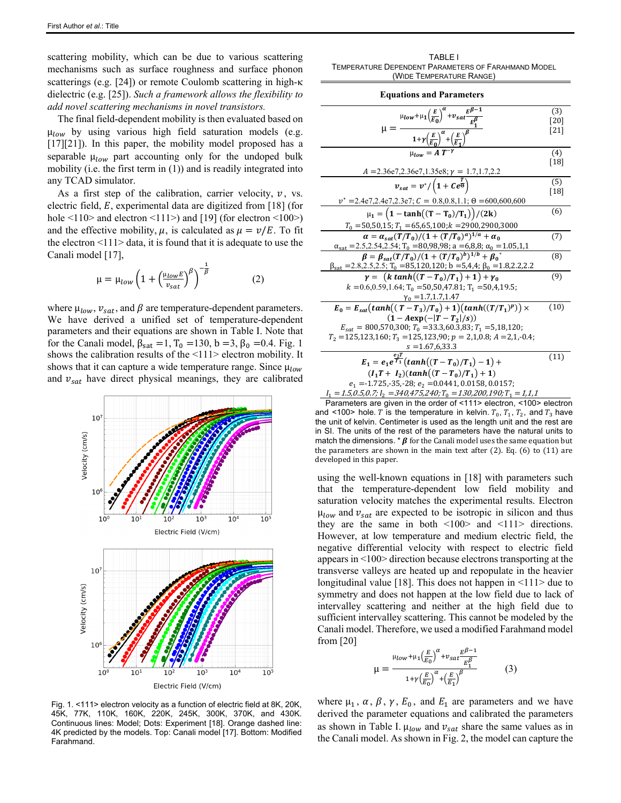scattering mobility, which can be due to various scattering mechanisms such as surface roughness and surface phonon scatterings (e.g. [\[24\]\)](#page-4-16) or remote Coulomb scattering in high-κ dielectric (e.g. [\[25\]\)](#page-4-17). *Such a framework allows the flexibility to add novel scattering mechanisms in novel transistors.*

The final field-dependent mobility is then evaluated based on  $\mu_{low}$  by using various high field saturation models (e.g. [\[17\]\[21\]\)](#page-4-9). In this paper, the mobility model proposed has a separable  $\mu_{low}$  part accounting only for the undoped bulk mobility (i.e. the first term in (1)) and is readily integrated into any TCAD simulator.

As a first step of the calibration, carrier velocity,  $v$ , vs. electric field,  $E$ , experimental data are digitized from [\[18\]](#page-4-10) (for hole  $\le$ 110> and electron  $\le$ 111>) and [\[19\]](#page-4-12) (for electron  $\le$ 100>) and the effective mobility,  $\mu$ , is calculated as  $\mu = \nu/E$ . To fit the electron  $\leq$ 112 data, it is found that it is adequate to use the Canali model [\[17\],](#page-4-9)

$$
\mu = \mu_{low} \left( 1 + \left( \frac{\mu_{low} E}{v_{sat}} \right)^{\beta} \right)^{-\frac{1}{\beta}} \tag{2}
$$

where  $\mu_{low}$ ,  $v_{sat}$ , and  $\beta$  are temperature-dependent parameters. We have derived a unified set of temperature-dependent parameters and their equations are shown in Table I. Note that for the Canali model,  $β_{sat} =1, T_0 =130, b =3, β_0 =0.4$ . Fig. 1 shows the calibration results of the <111> electron mobility. It shows that it can capture a wide temperature range. Since  $\mu_{low}$ and  $v_{sat}$  have direct physical meanings, they are calibrated



Fig. 1. <111> electron velocity as a function of electric field at 8K, 20K, 45K, 77K, 110K, 160K, 220K, 245K, 300K, 370K, and 430K. Continuous lines: Model; Dots: Experiment [\[18\].](#page-4-10) Orange dashed line: 4K predicted by the models. Top: Canali mode[l \[17\].](#page-4-9) Bottom: Modified Farahmand.

TABLE I TEMPERATURE DEPENDENT PARAMETERS OF FARAHMAND MODEL (WIDE TEMPERATURE RANGE)

| <b>Equations and Parameters</b>                                                                                                                                                                       |                     |
|-------------------------------------------------------------------------------------------------------------------------------------------------------------------------------------------------------|---------------------|
| $\mu_{low} + \mu_1 \left(\frac{E}{E_0}\right)^{\alpha} + v_{sat} \frac{E^{\beta-1}}{E^{\beta}}$<br>$\mu =$                                                                                            | (3)<br>[20]<br>[21] |
| $1+\gamma\left(\frac{E}{E_0}\right)^{\alpha}+\left(\frac{E}{E_1}\right)^{\beta}$                                                                                                                      |                     |
| $u_{low} = A T^{-\gamma}$                                                                                                                                                                             | (4)<br> 18          |
| $A = 2.36e7, 2.36e7, 1.35e8; \gamma = 1.7, 1.7, 2.2$                                                                                                                                                  |                     |
| $v_{sat} = v^*/\left(1 + Ce^{\frac{T}{\Theta}}\right)$                                                                                                                                                | (5)<br>[18]         |
| $v^* = 2.4e7, 2.4e7, 2.3e7;$ $C = 0.8, 0.8, 1.1;$ $\Theta = 600, 600, 600$                                                                                                                            |                     |
| $\mu_1 = (1 - \tanh((T - T_0)/T_1))/(2k)$                                                                                                                                                             | (6)                 |
| $T_0$ = 50,50,15; $T_1$ = 65,65,100; $k$ = 2900,2900,3000                                                                                                                                             |                     |
| $\alpha = \alpha_{\text{sat}}(T/T_0)/(1+(T/T_0)^a)^{1/a} + \alpha_0$<br>$\alpha_{\text{sat}}$ = 2.5, 2.54, 2.54; T <sub>0</sub> = 80, 98, 98; a = 6, 8, 8; $\alpha_0$ = 1.05, 1, 1                    | (7)                 |
| $\beta = \beta_{sat}(T/T_0)/(1+(T/T_0)^b)^{1/b} + \beta_0^*$<br>$\beta_{\text{sat}}$ = 2.8, 2.5, 2.5; T <sub>0</sub> = 85, 120, 120; b = 5, 4, 4; $\beta_0$ = 1.8, 2.2, 2.2                           | (8)                 |
| $\gamma = (k \tanh((T - T_0)/T_1) + 1) + \gamma_0$<br>$k = 0.6, 0.59, 1.64;$ T <sub>0</sub> = 50,50,47.81; T <sub>1</sub> = 50,4,19.5;<br>$y_0 = 1.7, 1.7, 1.47$                                      | (9)                 |
| $E_0 = E_{sat}(tanh((T-T_3)/T_0) + 1)(tanh((T/T_1)^p)) \times$                                                                                                                                        | (10)                |
| $(1 - Aexp(- T - T_2 /s))$<br>$E_{\text{sat}} = 800,570,300; T_0 = 33.3,60.3,83; T_1 = 5,18,120;$<br>$T_2$ = 125,123,160; $T_3$ = 125,123,90; $p = 2,1,0.8$ ; $A = 2,1,-0.4$ ;<br>$s = 1.67, 6, 33.3$ |                     |
| $\overline{E_1} = e_1 e^{\frac{e_2 T}{T_1}} (tanh((T-T_0)/T_1) - 1) +$                                                                                                                                | (11)                |

 $e_1 = -1.725, -35, -28; e_2 = 0.0441, 0.0158, 0.0157;$  $I_1 = 1.5, 0.5, 0.7; I_2 = 340, 475, 240; T_0 = 130, 200, 190; T_1 = 1, 1, 1$ Parameters are given in the order of <111> electron, <100> electron and <100> hole. T is the temperature in kelvin.  $T_0$ ,  $T_1$ ,  $T_2$ , and  $T_3$  have the unit of kelvin. Centimeter is used as the length unit and the rest are in SI. The units of the rest of the parameters have the natural units to match the dimensions.  $*\beta$  for the Canali model uses the same equation but the parameters are shown in the main text after (2). Eq. (6) to (11) are developed in this paper.

 $(I_1T + I_2)(\tanh((T - T_0)/T_1) + 1)$ 

using the well-known equations in [\[18\]](#page-4-10) with parameters such that the temperature-dependent low field mobility and saturation velocity matches the experimental results. Electron  $\mu_{low}$  and  $v_{sat}$  are expected to be isotropic in silicon and thus they are the same in both  $\langle 100 \rangle$  and  $\langle 111 \rangle$  directions. However, at low temperature and medium electric field, the negative differential velocity with respect to electric field appears in <100> direction because electrons transporting at the transverse valleys are heated up and repopulate in the heavier longitudinal value [\[18\].](#page-4-10) This does not happen in  $\leq$ 111 $>$  due to symmetry and does not happen at the low field due to lack of intervalley scattering and neither at the high field due to sufficient intervalley scattering. This cannot be modeled by the Canali model. Therefore, we used a modified Farahmand model from [\[20\]](#page-4-11)

$$
\mu = \frac{\mu_{low} + \mu_1 \left(\frac{E}{E_0}\right)^{\alpha} + \nu_{sat} \frac{E^{\beta - 1}}{E_1^{\beta}}}{1 + \gamma \left(\frac{E}{E_0}\right)^{\alpha} + \left(\frac{E}{E_1}\right)^{\beta}}
$$
(3)

where  $\mu_1$ ,  $\alpha$ ,  $\beta$ ,  $\gamma$ ,  $E_0$ , and  $E_1$  are parameters and we have derived the parameter equations and calibrated the parameters as shown in Table I.  $\mu_{low}$  and  $\nu_{sat}$  share the same values as in the Canali model. As shown in Fig. 2, the model can capture the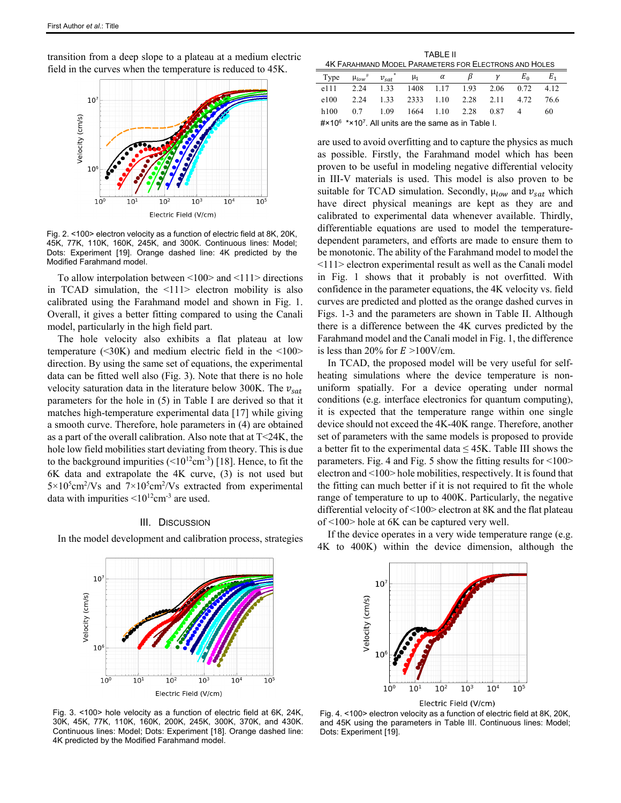transition from a deep slope to a plateau at a medium electric field in the curves when the temperature is reduced to 45K.



Fig. 2. <100> electron velocity as a function of electric field at 8K, 20K, 45K, 77K, 110K, 160K, 245K, and 300K. Continuous lines: Model; Dots: Experiment [\[19\].](#page-4-12) Orange dashed line: 4K predicted by the Modified Farahmand model.

To allow interpolation between <100> and <111> directions in TCAD simulation, the <111> electron mobility is also calibrated using the Farahmand model and shown in Fig. 1. Overall, it gives a better fitting compared to using the Canali model, particularly in the high field part.

The hole velocity also exhibits a flat plateau at low temperature  $( $30K$ )$  and medium electric field in the  $$100$$ direction. By using the same set of equations, the experimental data can be fitted well also (Fig. 3). Note that there is no hole velocity saturation data in the literature below 300K. The  $v_{sat}$ parameters for the hole in (5) in Table I are derived so that it matches high-temperature experimental data [\[17\]](#page-4-9) while giving a smooth curve. Therefore, hole parameters in (4) are obtained as a part of the overall calibration. Also note that at T<24K, the hole low field mobilities start deviating from theory. This is due to the background impurities  $(\leq 10^{12} \text{cm}^{-3})$  [\[18\].](#page-4-10) Hence, to fit the 6K data and extrapolate the 4K curve, (3) is not used but  $5 \times 10^5$ cm<sup>2</sup>/Vs and  $7 \times 10^5$ cm<sup>2</sup>/Vs extracted from experimental data with impurities  $\leq 10^{12}$ cm<sup>-3</sup> are used.

#### III. DISCUSSION

In the model development and calibration process, strategies

TABLE II 4K FARAHMAND MODEL PARAMETERS FOR ELECTRONS AND HOLES

| Type | $\mu_{low}$ <sup>#</sup> $v_{sat}$ <sup>*</sup> $\mu_1$ $\alpha$ $\beta$        |  |  | $E_{0}$ | $E_{1}$ |  |
|------|---------------------------------------------------------------------------------|--|--|---------|---------|--|
|      | e111 2.24 1.33 1408 1.17 1.93 2.06 0.72 4.12                                    |  |  |         |         |  |
|      | e100 2.24 1.33 2333 1.10 2.28 2.11 4.72 76.6                                    |  |  |         |         |  |
|      | h100 0.7 1.09 1664 1.10 2.28 0.87 4                                             |  |  |         | -60     |  |
|      | $\#$ ×10 <sup>6</sup> *×10 <sup>7</sup> . All units are the same as in Table I. |  |  |         |         |  |

are used to avoid overfitting and to capture the physics as much as possible. Firstly, the Farahmand model which has been proven to be useful in modeling negative differential velocity in III-V materials is used. This model is also proven to be suitable for TCAD simulation. Secondly,  $\mu_{low}$  and  $v_{sat}$  which have direct physical meanings are kept as they are and calibrated to experimental data whenever available. Thirdly, differentiable equations are used to model the temperaturedependent parameters, and efforts are made to ensure them to be monotonic. The ability of the Farahmand model to model the <111> electron experimental result as well as the Canali model in Fig. 1 shows that it probably is not overfitted. With confidence in the parameter equations, the 4K velocity vs. field curves are predicted and plotted as the orange dashed curves in Figs. 1-3 and the parameters are shown in Table II. Although there is a difference between the 4K curves predicted by the Farahmand model and the Canali model in Fig. 1, the difference is less than 20% for  $E > 100$ V/cm.

In TCAD, the proposed model will be very useful for selfheating simulations where the device temperature is nonuniform spatially. For a device operating under normal conditions (e.g. interface electronics for quantum computing), it is expected that the temperature range within one single device should not exceed the 4K-40K range. Therefore, another set of parameters with the same models is proposed to provide a better fit to the experimental data  $\leq$  45K. Table III shows the parameters. Fig. 4 and Fig. 5 show the fitting results for <100> electron and <100> hole mobilities, respectively. It is found that the fitting can much better if it is not required to fit the whole range of temperature to up to 400K. Particularly, the negative differential velocity of <100> electron at 8K and the flat plateau of <100> hole at 6K can be captured very well.

If the device operates in a very wide temperature range (e.g. 4K to 400K) within the device dimension, although the





Fig. 3. <100> hole velocity as a function of electric field at 6K, 24K, 30K, 45K, 77K, 110K, 160K, 200K, 245K, 300K, 370K, and 430K. Continuous lines: Model; Dots: Experiment [\[18\].](#page-4-10) Orange dashed line: 4K predicted by the Modified Farahmand model.

Fig. 4. <100> electron velocity as a function of electric field at 8K, 20K, and 45K using the parameters in Table III. Continuous lines: Model; Dots: Experiment [\[19\].](#page-4-12)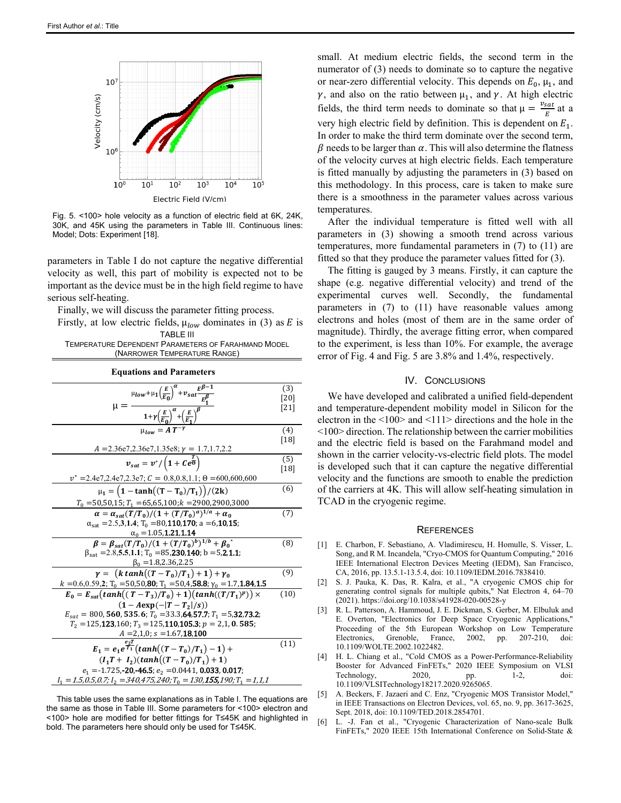

Fig. 5. <100> hole velocity as a function of electric field at 6K, 24K, 30K, and 45K using the parameters in Table III. Continuous lines: Model; Dots: Experimen[t \[18\].](#page-4-10)

parameters in Table I do not capture the negative differential velocity as well, this part of mobility is expected not to be important as the device must be in the high field regime to have serious self-heating.

Finally, we will discuss the parameter fitting process.

Firstly, at low electric fields,  $\mu_{low}$  dominates in (3) as E is TABLE III

| <b>TEMPERATURE DEPENDENT PARAMETERS OF FARAHMAND MODEL</b> |  |
|------------------------------------------------------------|--|
| (NARROWER TEMPERATURE RANGE)                               |  |

| <b>Equations and Parameters</b>                                                                                                                                                         |             |
|-----------------------------------------------------------------------------------------------------------------------------------------------------------------------------------------|-------------|
| $\mu_{low} + \mu_1 \left(\frac{E}{E_0}\right)^{\alpha} + v_{sat} \frac{E^{\beta-1}}{E^{\beta}}$                                                                                         | (3)<br>[20] |
| $\mu = \frac{1 + \gamma \left(\frac{E}{E_0}\right)^{\alpha} + \left(\frac{E}{E_1}\right)^{\beta}}{1 + \gamma \left(\frac{E}{E_0}\right)^{\alpha} + \left(\frac{E}{E_1}\right)^{\beta}}$ | [21]        |
| $u_{low} = A T^{-}$                                                                                                                                                                     | (4)<br>[18] |
| $A = 2.36e7, 2.36e7, 1.35e8; \gamma = 1.7, 1.7, 2.2$                                                                                                                                    |             |
| $v_{sat} = v^*/\left(1 + Ce^{\frac{T}{\Theta}}\right)$                                                                                                                                  | (5)<br>[18] |
| $v^* = 2.4e7, 2.4e7, 2.3e7;$ $C = 0.8, 0.8, 1.1;$ $\Theta = 600, 600, 600$                                                                                                              |             |
| $\mu_1 = (1 - \tanh((T - T_0)/T_1))/(2k)$                                                                                                                                               | (6)         |
| $T_0$ = 50,50,15; $T_1$ = 65,65,100; $k$ = 2900,2900,3000                                                                                                                               |             |
| $\alpha = \alpha_{\rm sat}(T/T_0)/(1+(T/T_0)^a)^{1/a} + \alpha_0$                                                                                                                       | (7)         |
| $\alpha_{\text{sat}} = 2.5,3,1.4; T_0 = 80,110,170; a = 6,10,15;$                                                                                                                       |             |
| $\alpha_0 = 1.05, 1.21, 1.14$                                                                                                                                                           |             |
| $\beta = \beta_{sat}(T/T_0)/(1+(T/T_0)^{b})^{1/b}+\beta_0^{\alpha^2}$                                                                                                                   | (8)         |
| $\beta_{\text{sat}} = 2.8, 5.5, 1.1; T_0 = 85, 230, 140; b = 5, 2, 1.1;$                                                                                                                |             |
| $\beta_0 = 1.8, 2.36, 2.25$                                                                                                                                                             |             |
| $\gamma = (k \tanh((T - T_0)/T_1) + 1) + \gamma_0$                                                                                                                                      | (9)         |
| $k = 0.6, 0.59, 2$ ; T <sub>0</sub> = 50,50,80; T <sub>1</sub> = 50,4,58.8; $\gamma_0$ = 1.7,1.84,1.5                                                                                   |             |
| $E_0 = E_{sat}(tanh((T-T_3)/T_0) + 1)(tanh((T/T_1)^p)) \times$                                                                                                                          | (10)        |
| $(1 - Aexp(- T - T_2 /s))$                                                                                                                                                              |             |
| $E_{\text{sat}} = 800, 560, 535.6; T_0 = 33.3, 64, 57.7; T_1 = 5, 32, 73.2;$                                                                                                            |             |
| $T_2$ = 125, 123, 160; $T_3$ = 125, 110, 105.3; $p = 2,1,0.585$ ;                                                                                                                       |             |
| $A = 2,1,0; s = 1.67,18,100$                                                                                                                                                            |             |
| $E_1 = e_1 e^{\frac{e_2 t}{T_1}} (tanh((T-T_0)/T_1) - 1) +$                                                                                                                             | (11)        |
| $(I_1T + I_2)(tanh((T - T_0)/T_1) + 1)$                                                                                                                                                 |             |
| $e_1 = -1.725, -20, -46.5; e_2 = 0.0441, 0.033, 0.017;$                                                                                                                                 |             |
| $I_1 = 1.5, 0.5, 0.7; I_2 = 340, 475, 240; T_0 = 130, 155, 190; T_1 = 1, 1, 1$                                                                                                          |             |

This table uses the same explanations as in Table I. The equations are the same as those in Table III. Some parameters for <100> electron and <100> hole are modified for better fittings for T≤45K and highlighted in bold. The parameters here should only be used for T≤45K.

small. At medium electric fields, the second term in the numerator of (3) needs to dominate so to capture the negative or near-zero differential velocity. This depends on  $E_0$ ,  $\mu_1$ , and  $\gamma$ , and also on the ratio between  $\mu_1$ , and  $\gamma$ . At high electric fields, the third term needs to dominate so that  $\mu = \frac{v_{sat}}{E}$  at a very high electric field by definition. This is dependent on  $E_1$ . In order to make the third term dominate over the second term,  $\beta$  needs to be larger than  $\alpha$ . This will also determine the flatness of the velocity curves at high electric fields. Each temperature is fitted manually by adjusting the parameters in (3) based on this methodology. In this process, care is taken to make sure there is a smoothness in the parameter values across various temperatures.

After the individual temperature is fitted well with all parameters in (3) showing a smooth trend across various temperatures, more fundamental parameters in (7) to (11) are fitted so that they produce the parameter values fitted for (3).

The fitting is gauged by 3 means. Firstly, it can capture the shape (e.g. negative differential velocity) and trend of the experimental curves well. Secondly, the fundamental parameters in (7) to (11) have reasonable values among electrons and holes (most of them are in the same order of magnitude). Thirdly, the average fitting error, when compared to the experiment, is less than 10%. For example, the average error of Fig. 4 and Fig. 5 are 3.8% and 1.4%, respectively.

## IV. CONCLUSIONS

We have developed and calibrated a unified field-dependent and temperature-dependent mobility model in Silicon for the electron in the <100> and <111> directions and the hole in the <100> direction. The relationship between the carrier mobilities and the electric field is based on the Farahmand model and shown in the carrier velocity-vs-electric field plots. The model is developed such that it can capture the negative differential velocity and the functions are smooth to enable the prediction of the carriers at 4K. This will allow self-heating simulation in TCAD in the cryogenic regime.

#### **REFERENCES**

- <span id="page-3-0"></span>[1] E. Charbon, F. Sebastiano, A. Vladimirescu, H. Homulle, S. Visser, L. Song, and R M. Incandela, "Cryo-CMOS for Quantum Computing," 2016 IEEE International Electron Devices Meeting (IEDM), San Francisco, CA, 2016, pp. 13.5.1-13.5.4, doi: 10.1109/IEDM.2016.7838410.
- <span id="page-3-4"></span>[2] S. J. Pauka, K. Das, R. Kalra, et al., "A cryogenic CMOS chip for generating control signals for multiple qubits," Nat Electron 4, 64–70 (2021). https://doi.org/10.1038/s41928-020-00528-y
- <span id="page-3-1"></span>[3] R. L. Patterson, A. Hammoud, J. E. Dickman, S. Gerber, M. Elbuluk and E. Overton, "Electronics for Deep Space Cryogenic Applications," Proceeding of the 5th European Workshop on Low Temperature Electronics, Grenoble, France, 2002, pp. 207-210, doi: 10.1109/WOLTE.2002.1022482.
- <span id="page-3-2"></span>[4] H. L. Chiang et al., "Cold CMOS as a Power-Performance-Reliability Booster for Advanced FinFETs," 2020 IEEE Symposium on VLSI<br>Technology, 2020, pp. 1-2, doi: Technology, 2020, pp. 1-2, doi: 10.1109/VLSITechnology18217.2020.9265065.
- <span id="page-3-3"></span>[5] A. Beckers, F. Jazaeri and C. Enz, "Cryogenic MOS Transistor Model," in IEEE Transactions on Electron Devices, vol. 65, no. 9, pp. 3617-3625, Sept. 2018, doi: 10.1109/TED.2018.2854701.
- <span id="page-3-5"></span>[6] L. -J. Fan et al., "Cryogenic Characterization of Nano-scale Bulk FinFETs," 2020 IEEE 15th International Conference on Solid-State &